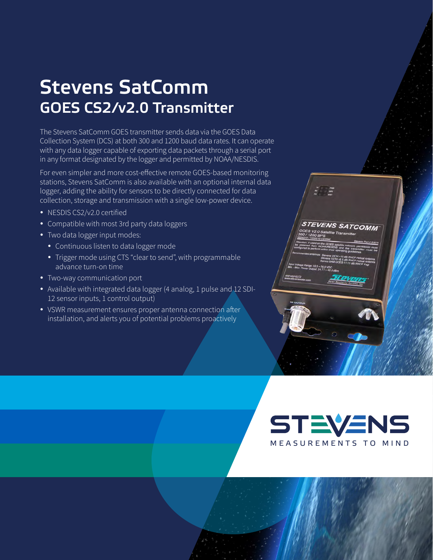## Stevens SatComm GOES CS2/v2.0 Transmitter

The Stevens SatComm GOES transmitter sends data via the GOES Data Collection System (DCS) at both 300 and 1200 baud data rates. It can operate with any data logger capable of exporting data packets through a serial port in any format designated by the logger and permitted by NOAA/NESDIS.

For even simpler and more cost-effective remote GOES-based monitoring stations, Stevens SatComm is also available with an optional internal data logger, adding the ability for sensors to be directly connected for data collection, storage and transmission with a single low-power device.

- NESDIS CS2/v2.0 certified
- Compatible with most 3rd party data loggers
- Two data logger input modes:
	- Continuous listen to data logger mode
	- Trigger mode using CTS "clear to send", with programmable advance turn-on time
- Two-way communication port
- Available with integrated data logger (4 analog, 1 pulse and 12 SDI-12 sensor inputs, 1 control output)
- VSWR measurement ensures proper antenna connection after installation, and alerts you of potential problems proactively



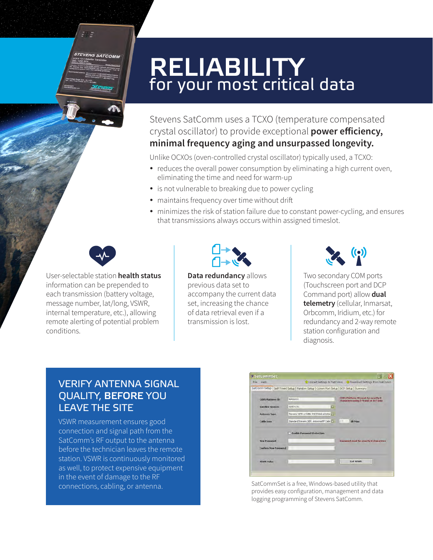## RELIABILITY for your most critical data

#### Stevens SatComm uses a TCXO (temperature compensated crystal oscillator) to provide exceptional **power efficiency, minimal frequency aging and unsurpassed longevity.**

Unlike OCXOs (oven-controlled crystal oscillator) typically used, a TCXO:

- reduces the overall power consumption by eliminating a high current oven, eliminating the time and need for warm-up
- is not vulnerable to breaking due to power cycling
- maintains frequency over time without drift
- minimizes the risk of station failure due to constant power-cycling, and ensures that transmissions always occurs within assigned timeslot.



 $55.7$ 

**STEVENS SATCOMM** 

User-selectable station **health status** information can be prepended to each transmission (battery voltage, message number, lat/long, VSWR, internal temperature, etc.), allowing remote alerting of potential problem conditions.



**Data redundancy** allows previous data set to accompany the current data set, increasing the chance of data retrieval even if a transmission is lost.



Two secondary COM ports (Touchscreen port and DCP Command port) allow **dual telemetry** (cellular, Inmarsat, Orbcomm, Iridium, etc.) for redundancy and 2-way remote station configuration and diagnosis.

#### VERIFY ANTENNA SIGNAL QUALITY, BEFORE YOU LEAVE THE SITE

VSWR measurement ensures good connection and signal path from the SatComm's RF output to the antenna before the technician leaves the remote station. VSWR is continuously monitored as well, to protect expensive equipment in the event of damage to the RF connections, cabling, or antenna.



SatCommSet is a free, Windows-based utility that provides easy configuration, management and data logging programming of Stevens SatComm.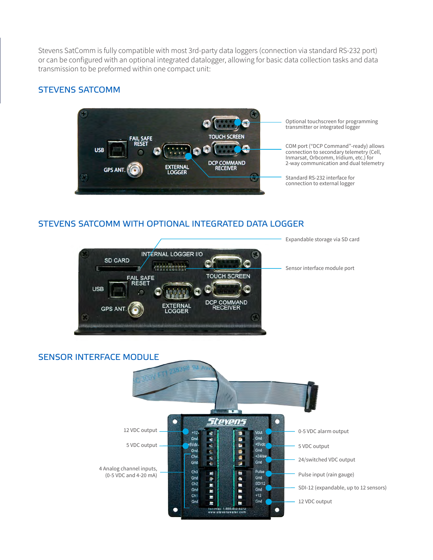Stevens SatComm is fully compatible with most 3rd-party data loggers (connection via standard RS-232 port) or can be configured with an optional integrated datalogger, allowing for basic data collection tasks and data transmission to be preformed within one compact unit:

#### STEVENS SATCOMM



Optional touchscreen for programming transmitter or integrated logger

COM port ("DCP Command"-ready) allows connection to secondary telemetry (Cell, Inmarsat, Orbcomm, Iridium, etc.) for 2-way communication and dual telemetry

Standard RS-232 interface for connection to external logger

#### STEVENS SATCOMM WITH OPTIONAL INTEGRATED DATA LOGGER



#### SENSOR INTERFACE MODULE